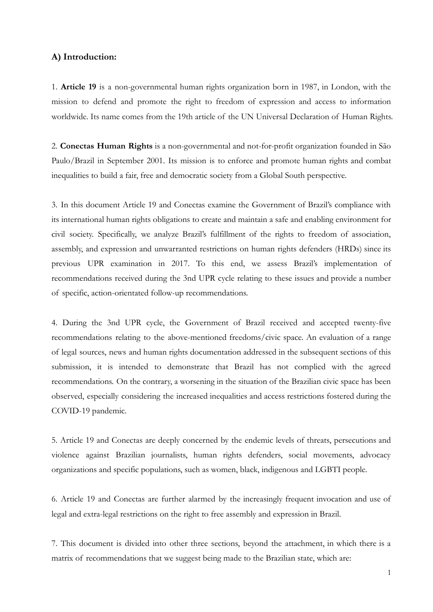## **A) Introduction:**

1. **Article 19** is a non-governmental human rights organization born in 1987, in London, with the mission to defend and promote the right to freedom of expression and access to information worldwide. Its name comes from the 19th article of the UN Universal Declaration of Human Rights.

2. **Conectas Human Rights** is a non-governmental and not-for-profit organization founded in São Paulo/Brazil in September 2001. Its mission is to enforce and promote human rights and combat inequalities to build a fair, free and democratic society from a Global South perspective.

3. In this document Article 19 and Conectas examine the Government of Brazil's compliance with its international human rights obligations to create and maintain a safe and enabling environment for civil society. Specifically, we analyze Brazil's fulfillment of the rights to freedom of association, assembly, and expression and unwarranted restrictions on human rights defenders (HRDs) since its previous UPR examination in 2017. To this end, we assess Brazil's implementation of recommendations received during the 3nd UPR cycle relating to these issues and provide a number of specific, action-orientated follow-up recommendations.

4. During the 3nd UPR cycle, the Government of Brazil received and accepted twenty-five recommendations relating to the above-mentioned freedoms/civic space. An evaluation of a range of legal sources, news and human rights documentation addressed in the subsequent sections of this submission, it is intended to demonstrate that Brazil has not complied with the agreed recommendations. On the contrary, a worsening in the situation of the Brazilian civic space has been observed, especially considering the increased inequalities and access restrictions fostered during the COVID-19 pandemic.

5. Article 19 and Conectas are deeply concerned by the endemic levels of threats, persecutions and violence against Brazilian journalists, human rights defenders, social movements, advocacy organizations and specific populations, such as women, black, indigenous and LGBTI people.

6. Article 19 and Conectas are further alarmed by the increasingly frequent invocation and use of legal and extra-legal restrictions on the right to free assembly and expression in Brazil.

7. This document is divided into other three sections, beyond the attachment, in which there is a matrix of recommendations that we suggest being made to the Brazilian state, which are: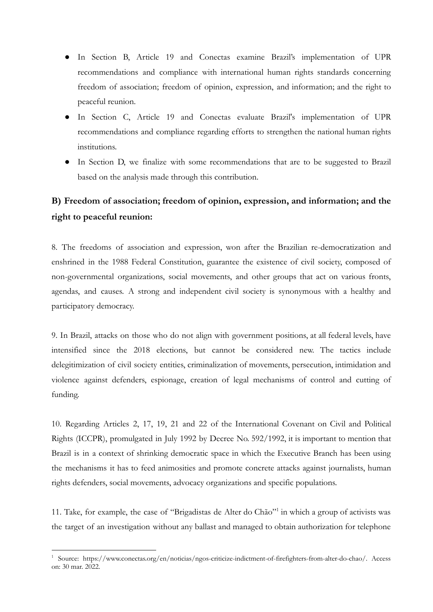- In Section B, Article 19 and Conectas examine Brazil's implementation of UPR recommendations and compliance with international human rights standards concerning freedom of association; freedom of opinion, expression, and information; and the right to peaceful reunion.
- In Section C, Article 19 and Conectas evaluate Brazil's implementation of UPR recommendations and compliance regarding efforts to strengthen the national human rights institutions.
- In Section D, we finalize with some recommendations that are to be suggested to Brazil based on the analysis made through this contribution.

## **B) Freedom of association; freedom of opinion, expression, and information; and the right to peaceful reunion:**

8. The freedoms of association and expression, won after the Brazilian re-democratization and enshrined in the 1988 Federal Constitution, guarantee the existence of civil society, composed of non-governmental organizations, social movements, and other groups that act on various fronts, agendas, and causes. A strong and independent civil society is synonymous with a healthy and participatory democracy.

9. In Brazil, attacks on those who do not align with government positions, at all federal levels, have intensified since the 2018 elections, but cannot be considered new. The tactics include delegitimization of civil society entities, criminalization of movements, persecution, intimidation and violence against defenders, espionage, creation of legal mechanisms of control and cutting of funding.

10. Regarding Articles 2, 17, 19, 21 and 22 of the International Covenant on Civil and Political Rights (ICCPR), promulgated in July 1992 by Decree No. 592/1992, it is important to mention that Brazil is in a context of shrinking democratic space in which the Executive Branch has been using the mechanisms it has to feed animosities and promote concrete attacks against journalists, human rights defenders, social movements, advocacy organizations and specific populations.

11. Take, for example, the case of "Brigadistas de Alter do Chão"<sup>1</sup> in which a group of activists was the target of an investigation without any ballast and managed to obtain authorization for telephone

<sup>1</sup> Source: [https://www.conectas.org/en/noticias/ngos-criticize-indictment-of-firefighters-from-alter-do-chao/.](https://www.conectas.org/en/noticias/ngos-criticize-indictment-of-firefighters-from-alter-do-chao/) Access on: 30 mar. 2022.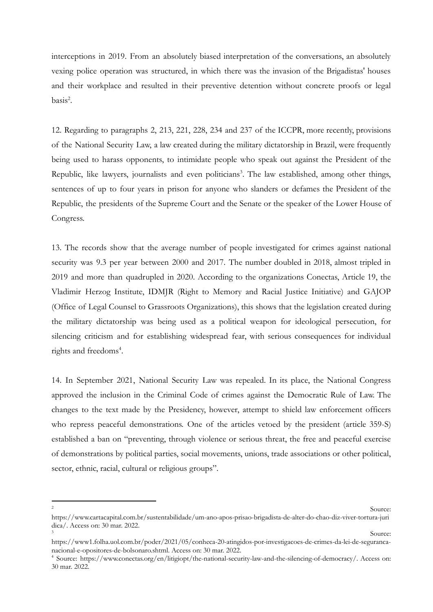interceptions in 2019. From an absolutely biased interpretation of the conversations, an absolutely vexing police operation was structured, in which there was the invasion of the Brigadistas' houses and their workplace and resulted in their preventive detention without concrete proofs or legal  $basis<sup>2</sup>$ .

12. Regarding to paragraphs 2, 213, 221, 228, 234 and 237 of the ICCPR, more recently, provisions of the National Security Law, a law created during the military dictatorship in Brazil, were frequently being used to harass opponents, to intimidate people who speak out against the President of the Republic, like lawyers, journalists and even politicians<sup>3</sup>. The law established, among other things, sentences of up to four years in prison for anyone who slanders or defames the President of the Republic, the presidents of the Supreme Court and the Senate or the speaker of the Lower House of Congress.

13. The records show that the average number of people investigated for crimes against national security was 9.3 per year between 2000 and 2017. The number doubled in 2018, almost tripled in 2019 and more than quadrupled in 2020. According to the organizations Conectas, Article 19, the Vladimir Herzog Institute, IDMJR (Right to Memory and Racial Justice Initiative) and GAJOP (Office of Legal Counsel to Grassroots Organizations), this shows that the legislation created during the military dictatorship was being used as a political weapon for ideological persecution, for silencing criticism and for establishing widespread fear, with serious consequences for individual rights and freedoms<sup>4</sup>.

14. In September 2021, National Security Law was repealed. In its place, the National Congress approved the inclusion in the Criminal Code of crimes against the Democratic Rule of Law. The changes to the text made by the Presidency, however, attempt to shield law enforcement officers who repress peaceful demonstrations. One of the articles vetoed by the president (article 359-S) established a ban on "preventing, through violence or serious threat, the free and peaceful exercise of demonstrations by political parties, social movements, unions, trade associations or other political, sector, ethnic, racial, cultural or religious groups".

<sup>2</sup> Source:

<sup>&</sup>lt;sup>3</sup> Source: [https://www.cartacapital.com.br/sustentabilidade/um-ano-apos-prisao-brigadista-de-alter-do-chao-diz-viver-tortura-juri](https://www.cartacapital.com.br/sustentabilidade/um-ano-apos-prisao-brigadista-de-alter-do-chao-diz-viver-tortura-juridica/) [dica/](https://www.cartacapital.com.br/sustentabilidade/um-ano-apos-prisao-brigadista-de-alter-do-chao-diz-viver-tortura-juridica/). Access on: 30 mar. 2022.

[https://www1.folha.uol.com.br/poder/2021/05/conheca-20-atingidos-por-investigacoes-de-crimes-da-lei-de-seguranca](https://www1.folha.uol.com.br/poder/2021/05/conheca-20-atingidos-por-investigacoes-de-crimes-da-lei-de-seguranca-nacional-e-opositores-de-bolsonaro.shtml)[nacional-e-opositores-de-bolsonaro.shtml](https://www1.folha.uol.com.br/poder/2021/05/conheca-20-atingidos-por-investigacoes-de-crimes-da-lei-de-seguranca-nacional-e-opositores-de-bolsonaro.shtml). Access on: 30 mar. 2022.

<sup>4</sup> Source: [https://www.conectas.org/en/litigiopt/the-national-security-law-and-the-silencing-of-democracy/.](https://www.conectas.org/en/litigiopt/the-national-security-law-and-the-silencing-of-democracy/) Access on: 30 mar. 2022.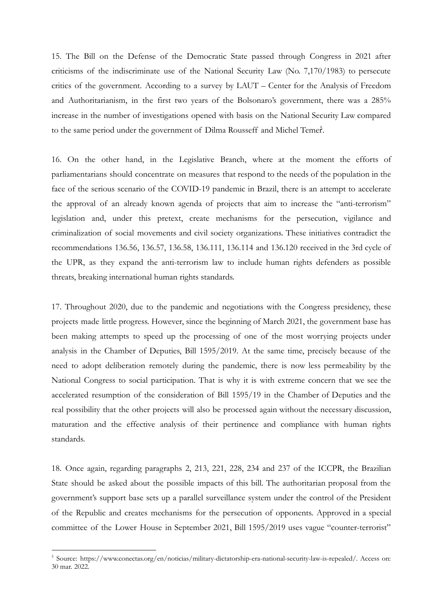15. The Bill on the Defense of the Democratic State passed through Congress in 2021 after criticisms of the indiscriminate use of the National Security Law (No. 7,170/1983) to persecute critics of the government. According to a survey by LAUT – Center for the Analysis of Freedom and Authoritarianism, in the first two years of the Bolsonaro's government, there was a 285% increase in the number of investigations opened with basis on the National Security Law compared to the same period under the government of Dilma Rousseff and Michel Temer.

16. On the other hand, in the Legislative Branch, where at the moment the efforts of parliamentarians should concentrate on measures that respond to the needs of the population in the face of the serious scenario of the COVID-19 pandemic in Brazil, there is an attempt to accelerate the approval of an already known agenda of projects that aim to increase the "anti-terrorism" legislation and, under this pretext, create mechanisms for the persecution, vigilance and criminalization of social movements and civil society organizations. These initiatives contradict the recommendations 136.56, 136.57, 136.58, 136.111, 136.114 and 136.120 received in the 3rd cycle of the UPR, as they expand the anti-terrorism law to include human rights defenders as possible threats, breaking international human rights standards.

17. Throughout 2020, due to the pandemic and negotiations with the Congress presidency, these projects made little progress. However, since the beginning of March 2021, the government base has been making attempts to speed up the processing of one of the most worrying projects under analysis in the Chamber of Deputies, Bill 1595/2019. At the same time, precisely because of the need to adopt deliberation remotely during the pandemic, there is now less permeability by the National Congress to social participation. That is why it is with extreme concern that we see the accelerated resumption of the consideration of Bill 1595/19 in the Chamber of Deputies and the real possibility that the other projects will also be processed again without the necessary discussion, maturation and the effective analysis of their pertinence and compliance with human rights standards.

18. Once again, regarding paragraphs 2, 213, 221, 228, 234 and 237 of the ICCPR, the Brazilian State should be asked about the possible impacts of this bill. The authoritarian proposal from the government's support base sets up a parallel surveillance system under the control of the President of the Republic and creates mechanisms for the persecution of opponents. Approved in a special committee of the Lower House in September 2021, Bill 1595/2019 uses vague "counter-terrorist"

<sup>&</sup>lt;sup>5</sup> Source: <https://www.conectas.org/en/noticias/military-dictatorship-era-national-security-law-is-repealed/>. Access on: 30 mar. 2022.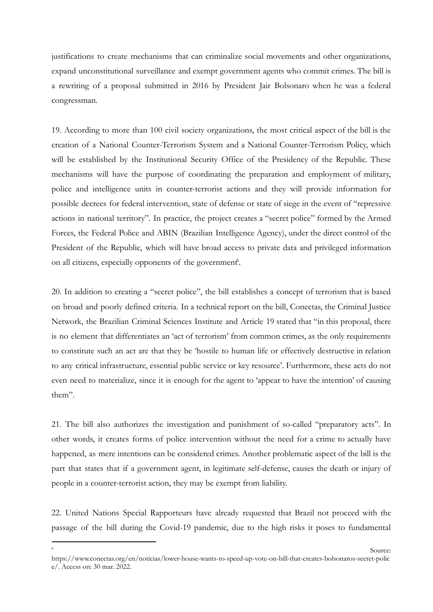justifications to create mechanisms that can criminalize social movements and other organizations, expand unconstitutional surveillance and exempt government agents who commit crimes. The bill is a rewriting of a proposal submitted in 2016 by President Jair Bolsonaro when he was a federal congressman.

19. According to more than 100 civil society organizations, the most critical aspect of the bill is the creation of a National Counter-Terrorism System and a National Counter-Terrorism Policy, which will be established by the Institutional Security Office of the Presidency of the Republic. These mechanisms will have the purpose of coordinating the preparation and employment of military, police and intelligence units in counter-terrorist actions and they will provide information for possible decrees for federal intervention, state of defense or state of siege in the event of "repressive actions in national territory". In practice, the project creates a "secret police" formed by the Armed Forces, the Federal Police and ABIN (Brazilian Intelligence Agency), under the direct control of the President of the Republic, which will have broad access to private data and privileged information on all citizens, especially opponents of the government<sup>6</sup>.

20. In addition to creating a "secret police", the bill establishes a concept of terrorism that is based on broad and poorly defined criteria. In a technical report on the bill, Conectas, the Criminal Justice Network, the Brazilian Criminal Sciences Institute and Article 19 stated that "in this proposal, there is no element that differentiates an 'act of terrorism' from common crimes, as the only requirements to constitute such an act are that they be 'hostile to human life or effectively destructive in relation to any critical infrastructure, essential public service or key resource'. Furthermore, these acts do not even need to materialize, since it is enough for the agent to 'appear to have the intention' of causing them".

21. The bill also authorizes the investigation and punishment of so-called "preparatory acts". In other words, it creates forms of police intervention without the need for a crime to actually have happened, as mere intentions can be considered crimes. Another problematic aspect of the bill is the part that states that if a government agent, in legitimate self-defense, causes the death or injury of people in a counter-terrorist action, they may be exempt from liability.

22. United Nations Special Rapporteurs have already requested that Brazil not proceed with the passage of the bill during the Covid-19 pandemic, due to the high risks it poses to fundamental

**Source:** Source: [https://www.conectas.org/en/noticias/lower-house-wants-to-speed-up-vote-on-bill-that-creates-bolsonaros-secret-polic](https://www.conectas.org/en/noticias/lower-house-wants-to-speed-up-vote-on-bill-that-creates-bolsonaros-secret-police/) [e/](https://www.conectas.org/en/noticias/lower-house-wants-to-speed-up-vote-on-bill-that-creates-bolsonaros-secret-police/). Access on: 30 mar. 2022.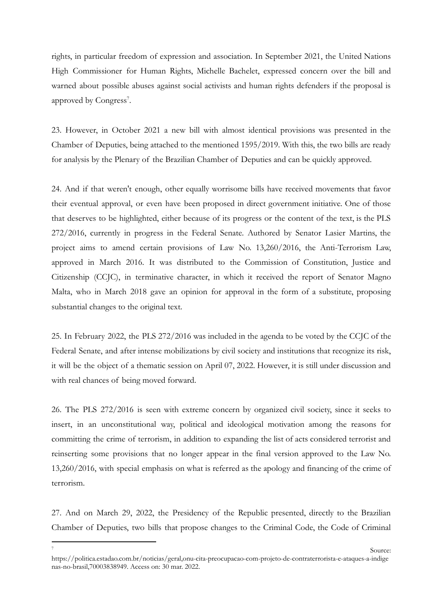rights, in particular freedom of expression and association. In September 2021, the United Nations High Commissioner for Human Rights, Michelle Bachelet, expressed concern over the bill and warned about possible abuses against social activists and human rights defenders if the proposal is approved by Congress<sup>7</sup>.

23. However, in October 2021 a new bill with almost identical provisions was presented in the Chamber of Deputies, being attached to the mentioned 1595/2019. With this, the two bills are ready for analysis by the Plenary of the Brazilian Chamber of Deputies and can be quickly approved.

24. And if that weren't enough, other equally worrisome bills have received movements that favor their eventual approval, or even have been proposed in direct government initiative. One of those that deserves to be highlighted, either because of its progress or the content of the text, is the PLS 272/2016, currently in progress in the Federal Senate. Authored by Senator Lasier Martins, the project aims to amend certain provisions of Law No. 13,260/2016, the Anti-Terrorism Law, approved in March 2016. It was distributed to the Commission of Constitution, Justice and Citizenship (CCJC), in terminative character, in which it received the report of Senator Magno Malta, who in March 2018 gave an opinion for approval in the form of a substitute, proposing substantial changes to the original text.

25. In February 2022, the PLS 272/2016 was included in the agenda to be voted by the CCJC of the Federal Senate, and after intense mobilizations by civil society and institutions that recognize its risk, it will be the object of a thematic session on April 07, 2022. However, it is still under discussion and with real chances of being moved forward.

26. The PLS 272/2016 is seen with extreme concern by organized civil society, since it seeks to insert, in an unconstitutional way, political and ideological motivation among the reasons for committing the crime of terrorism, in addition to expanding the list of acts considered terrorist and reinserting some provisions that no longer appear in the final version approved to the Law No. 13,260/2016, with special emphasis on what is referred as the apology and financing of the crime of terrorism.

27. And on March 29, 2022, the Presidency of the Republic presented, directly to the Brazilian Chamber of Deputies, two bills that propose changes to the Criminal Code, the Code of Criminal

<sup>&</sup>lt;sup>7</sup> Source: [https://politica.estadao.com.br/noticias/geral,onu-cita-preocupacao-com-projeto-de-contraterrorista-e-ataques-a-indige](https://politica.estadao.com.br/noticias/geral,onu-cita-preocupacao-com-projeto-de-contraterrorista-e-ataques-a-indigenas-no-brasil,70003838949) [nas-no-brasil,70003838949.](https://politica.estadao.com.br/noticias/geral,onu-cita-preocupacao-com-projeto-de-contraterrorista-e-ataques-a-indigenas-no-brasil,70003838949) Access on: 30 mar. 2022.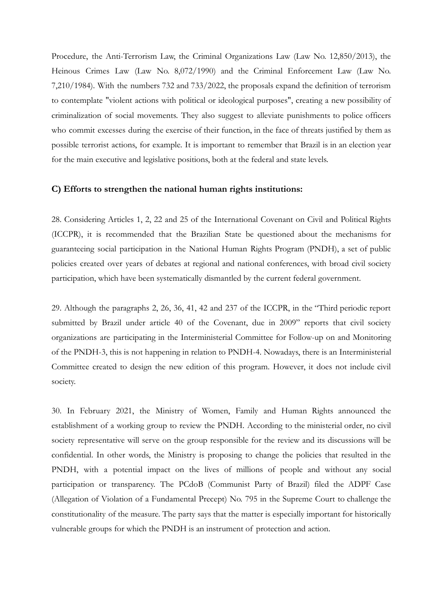Procedure, the Anti-Terrorism Law, the Criminal Organizations Law (Law No. 12,850/2013), the Heinous Crimes Law (Law No. 8,072/1990) and the Criminal Enforcement Law (Law No. 7,210/1984). With the numbers 732 and 733/2022, the proposals expand the definition of terrorism to contemplate "violent actions with political or ideological purposes", creating a new possibility of criminalization of social movements. They also suggest to alleviate punishments to police officers who commit excesses during the exercise of their function, in the face of threats justified by them as possible terrorist actions, for example. It is important to remember that Brazil is in an election year for the main executive and legislative positions, both at the federal and state levels.

## **C) Efforts to strengthen the national human rights institutions:**

28. Considering Articles 1, 2, 22 and 25 of the International Covenant on Civil and Political Rights (ICCPR), it is recommended that the Brazilian State be questioned about the mechanisms for guaranteeing social participation in the National Human Rights Program (PNDH), a set of public policies created over years of debates at regional and national conferences, with broad civil society participation, which have been systematically dismantled by the current federal government.

29. Although the paragraphs 2, 26, 36, 41, 42 and 237 of the ICCPR, in the "Third periodic report submitted by Brazil under article 40 of the Covenant, due in 2009" reports that civil society organizations are participating in the Interministerial Committee for Follow-up on and Monitoring of the PNDH-3, this is not happening in relation to PNDH-4. Nowadays, there is an Interministerial Committee created to design the new edition of this program. However, it does not include civil society.

30. In February 2021, the Ministry of Women, Family and Human Rights announced the establishment of a working group to review the PNDH. According to the ministerial order, no civil society representative will serve on the group responsible for the review and its discussions will be confidential. In other words, the Ministry is proposing to change the policies that resulted in the PNDH, with a potential impact on the lives of millions of people and without any social participation or transparency. The PCdoB (Communist Party of Brazil) filed the ADPF Case (Allegation of Violation of a Fundamental Precept) No. 795 in the Supreme Court to challenge the constitutionality of the measure. The party says that the matter is especially important for historically vulnerable groups for which the PNDH is an instrument of protection and action.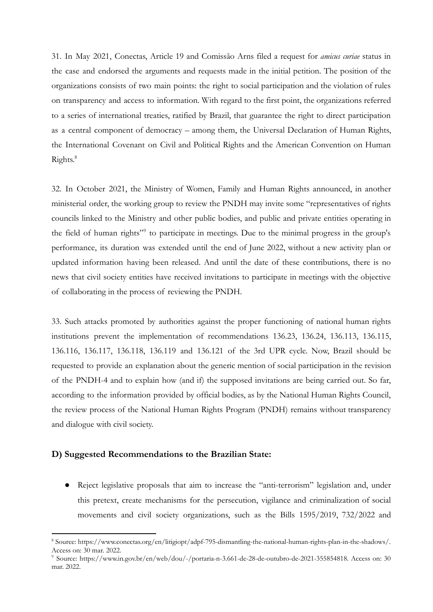31. In May 2021, Conectas, Article 19 and Comissão Arns filed a request for *amicus curiae* status in the case and endorsed the arguments and requests made in the initial petition. The position of the organizations consists of two main points: the right to social participation and the violation of rules on transparency and access to information. With regard to the first point, the organizations referred to a series of international treaties, ratified by Brazil, that guarantee the right to direct participation as a central component of democracy – among them, the Universal Declaration of Human Rights, the International Covenant on Civil and Political Rights and the American Convention on Human Rights. 8

32. In October 2021, the Ministry of Women, Family and Human Rights announced, in another ministerial order, the working group to review the PNDH may invite some "representatives of rights councils linked to the Ministry and other public bodies, and public and private entities operating in the field of human rights"<sup>9</sup> to participate in meetings. Due to the minimal progress in the group's performance, its duration was extended until the end of June 2022, without a new activity plan or updated information having been released. And until the date of these contributions, there is no news that civil society entities have received invitations to participate in meetings with the objective of collaborating in the process of reviewing the PNDH.

33. Such attacks promoted by authorities against the proper functioning of national human rights institutions prevent the implementation of recommendations 136.23, 136.24, 136.113, 136.115, 136.116, 136.117, 136.118, 136.119 and 136.121 of the 3rd UPR cycle. Now, Brazil should be requested to provide an explanation about the generic mention of social participation in the revision of the PNDH-4 and to explain how (and if) the supposed invitations are being carried out. So far, according to the information provided by official bodies, as by the National Human Rights Council, the review process of the National Human Rights Program (PNDH) remains without transparency and dialogue with civil society.

## **D) Suggested Recommendations to the Brazilian State:**

● Reject legislative proposals that aim to increase the "anti-terrorism" legislation and, under this pretext, create mechanisms for the persecution, vigilance and criminalization of social movements and civil society organizations, such as the Bills 1595/2019, 732/2022 and

<sup>8</sup> Source: [https://www.conectas.org/en/litigiopt/adpf-795-dismantling-the-national-human-rights-plan-in-the-shadows/.](https://www.conectas.org/en/litigiopt/adpf-795-dismantling-the-national-human-rights-plan-in-the-shadows/) Access on: 30 mar. 2022.

<sup>9</sup> Source: [https://www.in.gov.br/en/web/dou/-/portaria-n-3.661-de-28-de-outubro-de-2021-355854818.](https://www.in.gov.br/en/web/dou/-/portaria-n-3.661-de-28-de-outubro-de-2021-355854818) Access on: 30 mar. 2022.